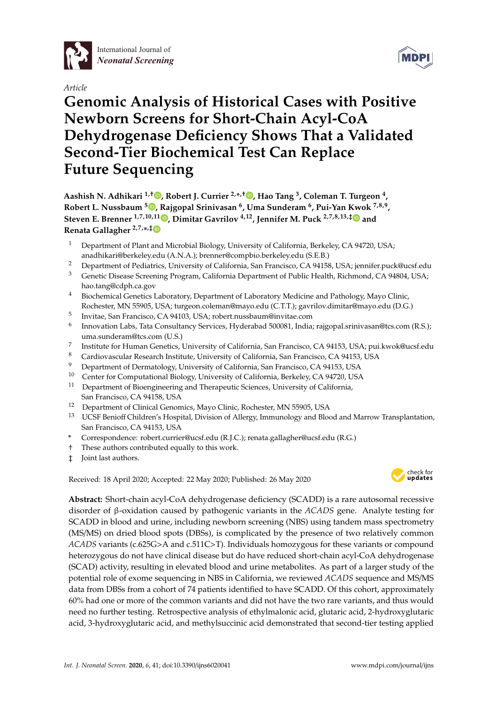

# *Article*



# **Genomic Analysis of Historical Cases with Positive Newborn Screens for Short-Chain Acyl-CoA Dehydrogenase Deficiency Shows That a Validated Second-Tier Biochemical Test Can Replace Future Sequencing**

**Aashish N. Adhikari 1,**† **[,](https://orcid.org/0000-0003-4305-9494) Robert J. Currier 2,\* ,**† **[,](https://orcid.org/0000-0001-9168-5604) Hao Tang <sup>3</sup> , Coleman T. Turgeon <sup>4</sup> , Robert L. Nussbaum <sup>5</sup> [,](https://orcid.org/0000-0003-3445-8880) Rajgopal Srinivasan <sup>6</sup> , Uma Sunderam <sup>6</sup> , Pui-Yan Kwok 7,8,9 , Steven E. Brenner 1,7,10,11 [,](https://orcid.org/0000-0001-7559-6185) Dimitar Gavrilov 4,12, Jennifer M. Puck 2,7,8,13,**[‡](https://orcid.org/0000-0001-6623-6276) **and Renata Gallagher 2,7,\* ,**[‡](https://orcid.org/0000-0003-1611-0354)

- <sup>1</sup> Department of Plant and Microbial Biology, University of California, Berkeley, CA 94720, USA; anadhikari@berkeley.edu (A.N.A.); brenner@compbio.berkeley.edu (S.E.B.)
- <sup>2</sup> Department of Pediatrics, University of California, San Francisco, CA 94158, USA; jennifer.puck@ucsf.edu<br><sup>3</sup> Cenetic Disease Screening Program, California Department of Public Health, Richmond, CA 94804, USA
- <sup>3</sup> Genetic Disease Screening Program, California Department of Public Health, Richmond, CA 94804, USA; hao.tang@cdph.ca.gov
- <sup>4</sup> Biochemical Genetics Laboratory, Department of Laboratory Medicine and Pathology, Mayo Clinic, Rochester, MN 55905, USA; turgeon.coleman@mayo.edu (C.T.T.); gavrilov.dimitar@mayo.edu (D.G.)
- 5 Invitae, San Francisco, CA 94103, USA; robert.nussbaum@invitae.com
- 6 Innovation Labs, Tata Consultancy Services, Hyderabad 500081, India; rajgopal.srinivasan@tcs.com (R.S.); uma.sunderam@tcs.com (U.S.)
- 7 Institute for Human Genetics, University of California, San Francisco, CA 94153, USA; pui.kwok@ucsf.edu
- <sup>8</sup> Cardiovascular Research Institute, University of California, San Francisco, CA 94153, USA
- <sup>9</sup> Department of Dermatology, University of California, San Francisco, CA 94153, USA
- <sup>10</sup> Center for Computational Biology, University of California, Berkeley, CA 94720, USA<br><sup>11</sup> Department of Biographysics and Therapoutic Sciences, University of California
- <sup>11</sup> Department of Bioengineering and Therapeutic Sciences, University of California, San Francisco, CA 94158, USA
- <sup>12</sup> Department of Clinical Genomics, Mayo Clinic, Rochester, MN 55905, USA
- <sup>13</sup> UCSF Benioff Children's Hospital, Division of Allergy, Immunology and Blood and Marrow Transplantation, San Francisco, CA 94153, USA
- **\*** Correspondence: robert.currier@ucsf.edu (R.J.C.); renata.gallagher@ucsf.edu (R.G.)
- † These authors contributed equally to this work.
- ‡ Joint last authors.

Received: 18 April 2020; Accepted: 22 May 2020; Published: 26 May 2020 -



**Abstract:** Short-chain acyl-CoA dehydrogenase deficiency (SCADD) is a rare autosomal recessive disorder of β-oxidation caused by pathogenic variants in the *ACADS* gene. Analyte testing for SCADD in blood and urine, including newborn screening (NBS) using tandem mass spectrometry (MS/MS) on dried blood spots (DBSs), is complicated by the presence of two relatively common *ACADS* variants (c.625G>A and c.511C>T). Individuals homozygous for these variants or compound heterozygous do not have clinical disease but do have reduced short-chain acyl-CoA dehydrogenase (SCAD) activity, resulting in elevated blood and urine metabolites. As part of a larger study of the potential role of exome sequencing in NBS in California, we reviewed *ACADS* sequence and MS/MS data from DBSs from a cohort of 74 patients identified to have SCADD. Of this cohort, approximately 60% had one or more of the common variants and did not have the two rare variants, and thus would need no further testing. Retrospective analysis of ethylmalonic acid, glutaric acid, 2-hydroxyglutaric acid, 3-hydroxyglutaric acid, and methylsuccinic acid demonstrated that second-tier testing applied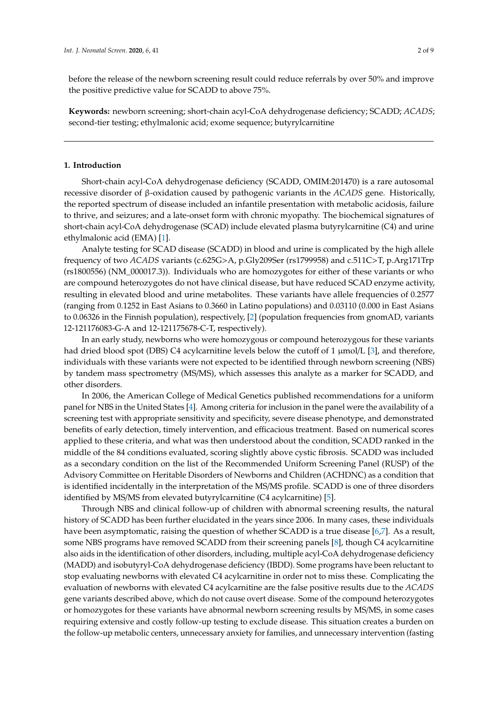before the release of the newborn screening result could reduce referrals by over 50% and improve the positive predictive value for SCADD to above 75%.

**Keywords:** newborn screening; short-chain acyl-CoA dehydrogenase deficiency; SCADD; *ACADS*; second-tier testing; ethylmalonic acid; exome sequence; butyrylcarnitine

#### **1. Introduction**

Short-chain acyl-CoA dehydrogenase deficiency (SCADD, OMIM:201470) is a rare autosomal recessive disorder of β-oxidation caused by pathogenic variants in the *ACADS* gene. Historically, the reported spectrum of disease included an infantile presentation with metabolic acidosis, failure to thrive, and seizures; and a late-onset form with chronic myopathy. The biochemical signatures of short-chain acyl-CoA dehydrogenase (SCAD) include elevated plasma butyrylcarnitine (C4) and urine ethylmalonic acid (EMA) [\[1\]](#page-7-0).

Analyte testing for SCAD disease (SCADD) in blood and urine is complicated by the high allele frequency of two *ACADS* variants (c.625G>A, p.Gly209Ser (rs1799958) and c.511C>T, p.Arg171Trp (rs1800556) (NM\_000017.3)). Individuals who are homozygotes for either of these variants or who are compound heterozygotes do not have clinical disease, but have reduced SCAD enzyme activity, resulting in elevated blood and urine metabolites. These variants have allele frequencies of 0.2577 (ranging from 0.1252 in East Asians to 0.3660 in Latino populations) and 0.03110 (0.000 in East Asians to 0.06326 in the Finnish population), respectively, [\[2\]](#page-7-1) (population frequencies from gnomAD, variants 12-121176083-G-A and 12-121175678-C-T, respectively).

In an early study, newborns who were homozygous or compound heterozygous for these variants had dried blood spot (DBS) C4 acylcarnitine levels below the cutoff of 1 µmol/L [\[3\]](#page-7-2), and therefore, individuals with these variants were not expected to be identified through newborn screening (NBS) by tandem mass spectrometry (MS/MS), which assesses this analyte as a marker for SCADD, and other disorders.

In 2006, the American College of Medical Genetics published recommendations for a uniform panel for NBS in the United States [\[4\]](#page-7-3). Among criteria for inclusion in the panel were the availability of a screening test with appropriate sensitivity and specificity, severe disease phenotype, and demonstrated benefits of early detection, timely intervention, and efficacious treatment. Based on numerical scores applied to these criteria, and what was then understood about the condition, SCADD ranked in the middle of the 84 conditions evaluated, scoring slightly above cystic fibrosis. SCADD was included as a secondary condition on the list of the Recommended Uniform Screening Panel (RUSP) of the Advisory Committee on Heritable Disorders of Newborns and Children (ACHDNC) as a condition that is identified incidentally in the interpretation of the MS/MS profile. SCADD is one of three disorders identified by MS/MS from elevated butyrylcarnitine (C4 acylcarnitine) [\[5\]](#page-7-4).

Through NBS and clinical follow-up of children with abnormal screening results, the natural history of SCADD has been further elucidated in the years since 2006. In many cases, these individuals have been asymptomatic, raising the question of whether SCADD is a true disease [\[6,](#page-7-5)[7\]](#page-7-6). As a result, some NBS programs have removed SCADD from their screening panels [\[8\]](#page-7-7), though C4 acylcarnitine also aids in the identification of other disorders, including, multiple acyl-CoA dehydrogenase deficiency (MADD) and isobutyryl-CoA dehydrogenase deficiency (IBDD). Some programs have been reluctant to stop evaluating newborns with elevated C4 acylcarnitine in order not to miss these. Complicating the evaluation of newborns with elevated C4 acylcarnitine are the false positive results due to the *ACADS* gene variants described above, which do not cause overt disease. Some of the compound heterozygotes or homozygotes for these variants have abnormal newborn screening results by MS/MS, in some cases requiring extensive and costly follow-up testing to exclude disease. This situation creates a burden on the follow-up metabolic centers, unnecessary anxiety for families, and unnecessary intervention (fasting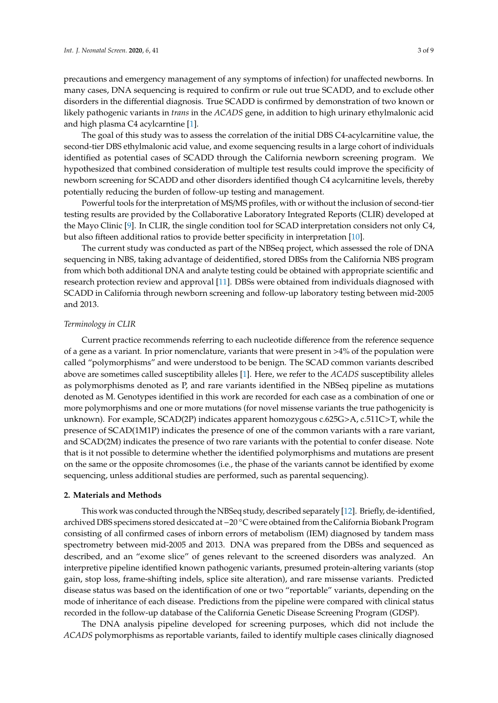precautions and emergency management of any symptoms of infection) for unaffected newborns. In many cases, DNA sequencing is required to confirm or rule out true SCADD, and to exclude other disorders in the differential diagnosis. True SCADD is confirmed by demonstration of two known or likely pathogenic variants in *trans* in the *ACADS* gene, in addition to high urinary ethylmalonic acid and high plasma C4 acylcarntine [\[1\]](#page-7-0).

The goal of this study was to assess the correlation of the initial DBS C4-acylcarnitine value, the second-tier DBS ethylmalonic acid value, and exome sequencing results in a large cohort of individuals identified as potential cases of SCADD through the California newborn screening program. We hypothesized that combined consideration of multiple test results could improve the specificity of newborn screening for SCADD and other disorders identified though C4 acylcarnitine levels, thereby potentially reducing the burden of follow-up testing and management.

Powerful tools for the interpretation of MS/MS profiles, with or without the inclusion of second-tier testing results are provided by the Collaborative Laboratory Integrated Reports (CLIR) developed at the Mayo Clinic [\[9\]](#page-7-8). In CLIR, the single condition tool for SCAD interpretation considers not only C4, but also fifteen additional ratios to provide better specificity in interpretation [\[10\]](#page-7-9).

The current study was conducted as part of the NBSeq project, which assessed the role of DNA sequencing in NBS, taking advantage of deidentified, stored DBSs from the California NBS program from which both additional DNA and analyte testing could be obtained with appropriate scientific and research protection review and approval [\[11\]](#page-7-10). DBSs were obtained from individuals diagnosed with SCADD in California through newborn screening and follow-up laboratory testing between mid-2005 and 2013.

#### *Terminology in CLIR*

Current practice recommends referring to each nucleotide difference from the reference sequence of a gene as a variant. In prior nomenclature, variants that were present in >4% of the population were called "polymorphisms" and were understood to be benign. The SCAD common variants described above are sometimes called susceptibility alleles [\[1\]](#page-7-0). Here, we refer to the *ACADS* susceptibility alleles as polymorphisms denoted as P, and rare variants identified in the NBSeq pipeline as mutations denoted as M. Genotypes identified in this work are recorded for each case as a combination of one or more polymorphisms and one or more mutations (for novel missense variants the true pathogenicity is unknown). For example, SCAD(2P) indicates apparent homozygous c.625G>A, c.511C>T, while the presence of SCAD(1M1P) indicates the presence of one of the common variants with a rare variant, and SCAD(2M) indicates the presence of two rare variants with the potential to confer disease. Note that is it not possible to determine whether the identified polymorphisms and mutations are present on the same or the opposite chromosomes (i.e., the phase of the variants cannot be identified by exome sequencing, unless additional studies are performed, such as parental sequencing).

#### **2. Materials and Methods**

This work was conducted through the NBSeq study, described separately [\[12\]](#page-7-11). Briefly, de-identified, archived DBS specimens stored desiccated at −<sup>20</sup> ◦C were obtained from the California Biobank Program consisting of all confirmed cases of inborn errors of metabolism (IEM) diagnosed by tandem mass spectrometry between mid-2005 and 2013. DNA was prepared from the DBSs and sequenced as described, and an "exome slice" of genes relevant to the screened disorders was analyzed. An interpretive pipeline identified known pathogenic variants, presumed protein-altering variants (stop gain, stop loss, frame-shifting indels, splice site alteration), and rare missense variants. Predicted disease status was based on the identification of one or two "reportable" variants, depending on the mode of inheritance of each disease. Predictions from the pipeline were compared with clinical status recorded in the follow-up database of the California Genetic Disease Screening Program (GDSP).

The DNA analysis pipeline developed for screening purposes, which did not include the *ACADS* polymorphisms as reportable variants, failed to identify multiple cases clinically diagnosed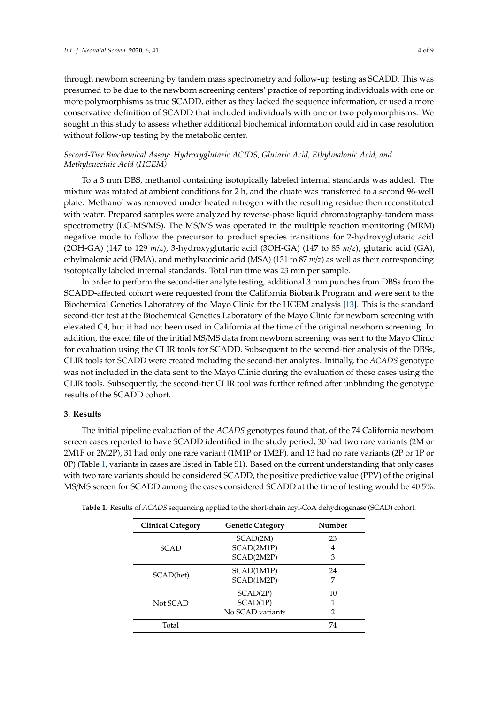through newborn screening by tandem mass spectrometry and follow-up testing as SCADD. This was presumed to be due to the newborn screening centers' practice of reporting individuals with one or more polymorphisms as true SCADD, either as they lacked the sequence information, or used a more conservative definition of SCADD that included individuals with one or two polymorphisms. We sought in this study to assess whether additional biochemical information could aid in case resolution without follow-up testing by the metabolic center.

## *Second-Tier Biochemical Assay: Hydroxyglutaric ACIDS, Glutaric Acid, Ethylmalonic Acid, and Methylsuccinic Acid (HGEM)*

To a 3 mm DBS, methanol containing isotopically labeled internal standards was added. The mixture was rotated at ambient conditions for 2 h, and the eluate was transferred to a second 96-well plate. Methanol was removed under heated nitrogen with the resulting residue then reconstituted with water. Prepared samples were analyzed by reverse-phase liquid chromatography-tandem mass spectrometry (LC-MS/MS). The MS/MS was operated in the multiple reaction monitoring (MRM) negative mode to follow the precursor to product species transitions for 2-hydroxyglutaric acid (2OH-GA) (147 to 129 *m*/*z*), 3-hydroxyglutaric acid (3OH-GA) (147 to 85 *m*/*z*), glutaric acid (GA), ethylmalonic acid (EMA), and methylsuccinic acid (MSA) (131 to 87 *m*/*z*) as well as their corresponding isotopically labeled internal standards. Total run time was 23 min per sample.

In order to perform the second-tier analyte testing, additional 3 mm punches from DBSs from the SCADD-affected cohort were requested from the California Biobank Program and were sent to the Biochemical Genetics Laboratory of the Mayo Clinic for the HGEM analysis [\[13\]](#page-7-12). This is the standard second-tier test at the Biochemical Genetics Laboratory of the Mayo Clinic for newborn screening with elevated C4, but it had not been used in California at the time of the original newborn screening. In addition, the excel file of the initial MS/MS data from newborn screening was sent to the Mayo Clinic for evaluation using the CLIR tools for SCADD. Subsequent to the second-tier analysis of the DBSs, CLIR tools for SCADD were created including the second-tier analytes. Initially, the *ACADS* genotype was not included in the data sent to the Mayo Clinic during the evaluation of these cases using the CLIR tools. Subsequently, the second-tier CLIR tool was further refined after unblinding the genotype results of the SCADD cohort.

#### **3. Results**

The initial pipeline evaluation of the *ACADS* genotypes found that, of the 74 California newborn screen cases reported to have SCADD identified in the study period, 30 had two rare variants (2M or 2M1P or 2M2P), 31 had only one rare variant (1M1P or 1M2P), and 13 had no rare variants (2P or 1P or 0P) (Table [1,](#page-3-0) variants in cases are listed in Table S1). Based on the current understanding that only cases with two rare variants should be considered SCADD, the positive predictive value (PPV) of the original MS/MS screen for SCADD among the cases considered SCADD at the time of testing would be 40.5%.

| <b>Clinical Category</b> | <b>Genetic Category</b> | Number |  |
|--------------------------|-------------------------|--------|--|
| <b>SCAD</b>              | SCAD(2M)                | 23     |  |
|                          | SCAD(2M1P)              | 4      |  |
|                          | SCAD(2M2P)              | 3      |  |
| SCAD(het)                | SCAD(1M1P)              | 24     |  |
|                          | SCAD(1M2P)              |        |  |
|                          | SCAD(2P)                | 10     |  |
| Not SCAD                 | SCAD(1P)                |        |  |
|                          | No SCAD variants        | 2      |  |
| Total                    |                         | 74     |  |

<span id="page-3-0"></span>**Table 1.** Results of *ACADS* sequencing applied to the short-chain acyl-CoA dehydrogenase (SCAD) cohort.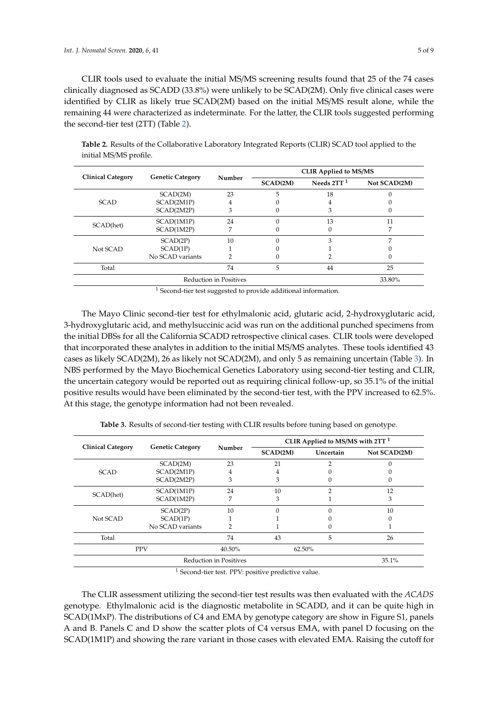CLIR tools used to evaluate the initial MS/MS screening results found that 25 of the 74 cases clinically diagnosed as SCADD (33.8%) were unlikely to be SCAD(2M). Only five clinical cases were identified by CLIR as likely true SCAD(2M) based on the initial MS/MS result alone, while the remaining 44 were characterized as indeterminate. For the latter, the CLIR tools suggested performing the second-tier test (2TT) (Table [2\)](#page-4-0).

| <b>Clinical Category</b> | <b>Genetic Category</b> | Number | <b>CLIR Applied to MS/MS</b> |              |              |
|--------------------------|-------------------------|--------|------------------------------|--------------|--------------|
|                          |                         |        | SCAD(2M)                     | Needs $2TT1$ | Not SCAD(2M) |
| <b>SCAD</b>              | SCAD(2M)                | 23     | 5                            | 18           |              |
|                          | SCAD(2M1P)              | 4      |                              | 4            |              |
|                          | SCAD(2M2P)              | 3      |                              | 3            |              |
| SCAD(het)                | SCAD(1M1P)              | 24     |                              | 13           | 11           |
|                          | SCAD(1M2P)              | 7      |                              | 0            |              |
| Not SCAD                 | SCAD(2P)                | 10     |                              | 3            |              |
|                          | SCAD(1P)                |        |                              |              |              |
|                          | No SCAD variants        | 2      | 0                            |              |              |
| Total                    |                         | 74     | 5                            | 44           | 25           |
| Reduction in Positives   |                         |        |                              | 33.80%       |              |

<span id="page-4-0"></span>**Table 2.** Results of the Collaborative Laboratory Integrated Reports (CLIR) SCAD tool applied to the initial MS/MS profile.

<sup>1</sup> Second-tier test suggested to provide additional information.

The Mayo Clinic second-tier test for ethylmalonic acid, glutaric acid, 2-hydroxyglutaric acid, 3-hydroxyglutaric acid, and methylsuccinic acid was run on the additional punched specimens from the initial DBSs for all the California SCADD retrospective clinical cases. CLIR tools were developed that incorporated these analytes in addition to the initial MS/MS analytes. These tools identified 43 cases as likely SCAD(2M), 26 as likely not SCAD(2M), and only 5 as remaining uncertain (Table [3\)](#page-4-1). In NBS performed by the Mayo Biochemical Genetics Laboratory using second-tier testing and CLIR, the uncertain category would be reported out as requiring clinical follow-up, so 35.1% of the initial positive results would have been eliminated by the second-tier test, with the PPV increased to 62.5%. At this stage, the genotype information had not been revealed.

<span id="page-4-1"></span>

| <b>Clinical Category</b> | <b>Genetic Category</b> | Number | CLIR Applied to MS/MS with $2TT1$ |           |              |
|--------------------------|-------------------------|--------|-----------------------------------|-----------|--------------|
|                          |                         |        | SCAD(2M)                          | Uncertain | Not SCAD(2M) |
| <b>SCAD</b>              | SCAD(2M)                | 23     | 21                                | 2         |              |
|                          | SCAD(2M1P)              | 4      | 4                                 |           |              |
|                          | SCAD(2M2P)              | 3      | 3                                 | 0         |              |
| SCAD(het)                | SCAD(1M1P)              | 24     | 10                                | 2         | 12           |
|                          | SCAD(1M2P)              | 7      | 3                                 |           | 3            |
| Not SCAD                 | SCAD(2P)                | 10     | 0                                 | $\Omega$  | 10           |
|                          | SCAD(1P)                |        |                                   |           |              |
|                          | No SCAD variants        | っ      |                                   |           |              |
| Total                    |                         | 74     | 43                                | 5         | 26           |
|                          | <b>PPV</b>              | 40.50% | 62.50%                            |           |              |
| Reduction in Positives   |                         |        |                                   | 35.1%     |              |

**Table 3.** Results of second-tier testing with CLIR results before tuning based on genotype.

<sup>1</sup> Second-tier test. PPV: positive predictive value.

The CLIR assessment utilizing the second-tier test results was then evaluated with the *ACADS* genotype. Ethylmalonic acid is the diagnostic metabolite in SCADD, and it can be quite high in SCAD(1MxP). The distributions of C4 and EMA by genotype category are show in Figure S1, panels A and B. Panels C and D show the scatter plots of C4 versus EMA, with panel D focusing on the SCAD(1M1P) and showing the rare variant in those cases with elevated EMA. Raising the cutoff for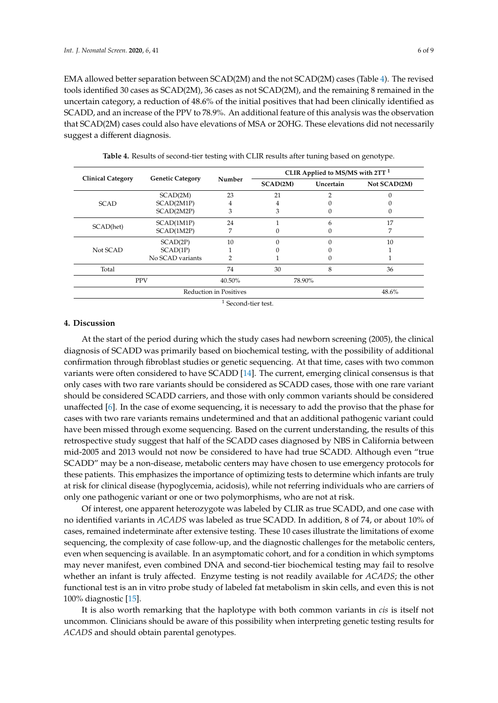EMA allowed better separation between SCAD(2M) and the not SCAD(2M) cases (Table [4\)](#page-5-0). The revised tools identified 30 cases as SCAD(2M), 36 cases as not SCAD(2M), and the remaining 8 remained in the uncertain category, a reduction of 48.6% of the initial positives that had been clinically identified as SCADD, and an increase of the PPV to 78.9%. An additional feature of this analysis was the observation that SCAD(2M) cases could also have elevations of MSA or 2OHG. These elevations did not necessarily suggest a different diagnosis.

<span id="page-5-0"></span>

| <b>Clinical Category</b> | <b>Genetic Category</b> | Number | CLIR Applied to MS/MS with $2TT1$ |           |              |
|--------------------------|-------------------------|--------|-----------------------------------|-----------|--------------|
|                          |                         |        | SCAD(2M)                          | Uncertain | Not SCAD(2M) |
| <b>SCAD</b>              | SCAD(2M)                | 23     | 21                                | 2         |              |
|                          | SCAD(2M1P)              | 4      | 4                                 | 0         |              |
|                          | SCAD(2M2P)              | 3      | 3                                 | 0         |              |
| SCAD(het)                | SCAD(1M1P)              | 24     |                                   | 6         | 17           |
|                          | SCAD(1M2P)              | 7      |                                   | 0         | 7            |
| Not SCAD                 | SCAD(2P)                | 10     |                                   | $\Omega$  | 10           |
|                          | SCAD(1P)                |        |                                   |           |              |
|                          | No SCAD variants        |        |                                   | 0         |              |
| Total                    |                         | 74     | 30                                | 8         | 36           |
|                          | <b>PPV</b>              | 40.50% |                                   | 78.90%    |              |
| Reduction in Positives   |                         |        |                                   | 48.6%     |              |
|                          |                         | и.     |                                   |           |              |

**Table 4.** Results of second-tier testing with CLIR results after tuning based on genotype.

 $<sup>1</sup>$  Second-tier test.</sup>

## **4. Discussion**

At the start of the period during which the study cases had newborn screening (2005), the clinical diagnosis of SCADD was primarily based on biochemical testing, with the possibility of additional confirmation through fibroblast studies or genetic sequencing. At that time, cases with two common variants were often considered to have SCADD [\[14\]](#page-7-13). The current, emerging clinical consensus is that only cases with two rare variants should be considered as SCADD cases, those with one rare variant should be considered SCADD carriers, and those with only common variants should be considered unaffected [\[6\]](#page-7-5). In the case of exome sequencing, it is necessary to add the proviso that the phase for cases with two rare variants remains undetermined and that an additional pathogenic variant could have been missed through exome sequencing. Based on the current understanding, the results of this retrospective study suggest that half of the SCADD cases diagnosed by NBS in California between mid-2005 and 2013 would not now be considered to have had true SCADD. Although even "true SCADD" may be a non-disease, metabolic centers may have chosen to use emergency protocols for these patients. This emphasizes the importance of optimizing tests to determine which infants are truly at risk for clinical disease (hypoglycemia, acidosis), while not referring individuals who are carriers of only one pathogenic variant or one or two polymorphisms, who are not at risk.

Of interest, one apparent heterozygote was labeled by CLIR as true SCADD, and one case with no identified variants in *ACADS* was labeled as true SCADD. In addition, 8 of 74, or about 10% of cases, remained indeterminate after extensive testing. These 10 cases illustrate the limitations of exome sequencing, the complexity of case follow-up, and the diagnostic challenges for the metabolic centers, even when sequencing is available. In an asymptomatic cohort, and for a condition in which symptoms may never manifest, even combined DNA and second-tier biochemical testing may fail to resolve whether an infant is truly affected. Enzyme testing is not readily available for *ACADS*; the other functional test is an in vitro probe study of labeled fat metabolism in skin cells, and even this is not 100% diagnostic [\[15\]](#page-8-0).

It is also worth remarking that the haplotype with both common variants in *cis* is itself not uncommon. Clinicians should be aware of this possibility when interpreting genetic testing results for *ACADS* and should obtain parental genotypes.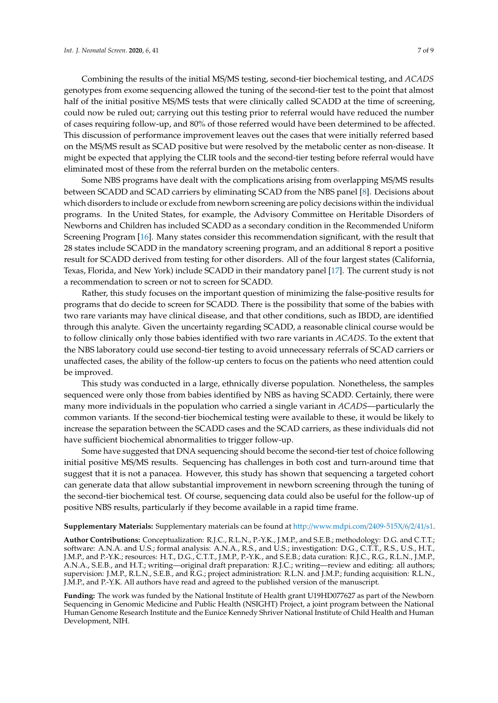Combining the results of the initial MS/MS testing, second-tier biochemical testing, and *ACADS* genotypes from exome sequencing allowed the tuning of the second-tier test to the point that almost half of the initial positive MS/MS tests that were clinically called SCADD at the time of screening, could now be ruled out; carrying out this testing prior to referral would have reduced the number of cases requiring follow-up, and 80% of those referred would have been determined to be affected. This discussion of performance improvement leaves out the cases that were initially referred based on the MS/MS result as SCAD positive but were resolved by the metabolic center as non-disease. It might be expected that applying the CLIR tools and the second-tier testing before referral would have eliminated most of these from the referral burden on the metabolic centers.

Some NBS programs have dealt with the complications arising from overlapping MS/MS results between SCADD and SCAD carriers by eliminating SCAD from the NBS panel [\[8\]](#page-7-7). Decisions about which disorders to include or exclude from newborn screening are policy decisions within the individual programs. In the United States, for example, the Advisory Committee on Heritable Disorders of Newborns and Children has included SCADD as a secondary condition in the Recommended Uniform Screening Program [\[16\]](#page-8-1). Many states consider this recommendation significant, with the result that 28 states include SCADD in the mandatory screening program, and an additional 8 report a positive result for SCADD derived from testing for other disorders. All of the four largest states (California, Texas, Florida, and New York) include SCADD in their mandatory panel [\[17\]](#page-8-2). The current study is not a recommendation to screen or not to screen for SCADD.

Rather, this study focuses on the important question of minimizing the false-positive results for programs that do decide to screen for SCADD. There is the possibility that some of the babies with two rare variants may have clinical disease, and that other conditions, such as IBDD, are identified through this analyte. Given the uncertainty regarding SCADD, a reasonable clinical course would be to follow clinically only those babies identified with two rare variants in *ACADS*. To the extent that the NBS laboratory could use second-tier testing to avoid unnecessary referrals of SCAD carriers or unaffected cases, the ability of the follow-up centers to focus on the patients who need attention could be improved.

This study was conducted in a large, ethnically diverse population. Nonetheless, the samples sequenced were only those from babies identified by NBS as having SCADD. Certainly, there were many more individuals in the population who carried a single variant in *ACADS*—particularly the common variants. If the second-tier biochemical testing were available to these, it would be likely to increase the separation between the SCADD cases and the SCAD carriers, as these individuals did not have sufficient biochemical abnormalities to trigger follow-up.

Some have suggested that DNA sequencing should become the second-tier test of choice following initial positive MS/MS results. Sequencing has challenges in both cost and turn-around time that suggest that it is not a panacea. However, this study has shown that sequencing a targeted cohort can generate data that allow substantial improvement in newborn screening through the tuning of the second-tier biochemical test. Of course, sequencing data could also be useful for the follow-up of positive NBS results, particularly if they become available in a rapid time frame.

#### **Supplementary Materials:** Supplementary materials can be found at http://[www.mdpi.com](http://www.mdpi.com/2409-515X/6/2/41/s1)/2409-515X/6/2/41/s1.

**Author Contributions:** Conceptualization: R.J.C., R.L.N., P.-Y.K., J.M.P., and S.E.B.; methodology: D.G. and C.T.T.; software: A.N.A. and U.S.; formal analysis: A.N.A., R.S., and U.S.; investigation: D.G., C.T.T., R.S., U.S., H.T., J.M.P., and P.-Y.K.; resources: H.T., D.G., C.T.T., J.M.P., P.-Y.K., and S.E.B.; data curation: R.J.C., R.G., R.L.N., J.M.P., A.N.A., S.E.B., and H.T.; writing—original draft preparation: R.J.C.; writing—review and editing: all authors; supervision: J.M.P., R.L.N., S.E.B., and R.G.; project administration: R.L.N. and J.M.P.; funding acquisition: R.L.N., J.M.P., and P.-Y.K. All authors have read and agreed to the published version of the manuscript.

**Funding:** The work was funded by the National Institute of Health grant U19HD077627 as part of the Newborn Sequencing in Genomic Medicine and Public Health (NSIGHT) Project, a joint program between the National Human Genome Research Institute and the Eunice Kennedy Shriver National Institute of Child Health and Human Development, NIH.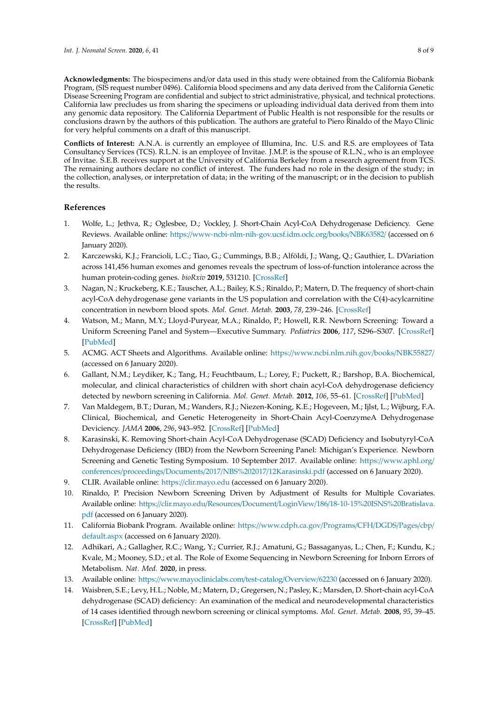**Acknowledgments:** The biospecimens and/or data used in this study were obtained from the California Biobank Program, (SIS request number 0496). California blood specimens and any data derived from the California Genetic Disease Screening Program are confidential and subject to strict administrative, physical, and technical protections. California law precludes us from sharing the specimens or uploading individual data derived from them into any genomic data repository. The California Department of Public Health is not responsible for the results or conclusions drawn by the authors of this publication. The authors are grateful to Piero Rinaldo of the Mayo Clinic for very helpful comments on a draft of this manuscript.

**Conflicts of Interest:** A.N.A. is currently an employee of Illumina, Inc. U.S. and R.S. are employees of Tata Consultancy Services (TCS). R.L.N. is an employee of Invitae. J.M.P. is the spouse of R.L.N., who is an employee of Invitae. S.E.B. receives support at the University of California Berkeley from a research agreement from TCS. The remaining authors declare no conflict of interest. The funders had no role in the design of the study; in the collection, analyses, or interpretation of data; in the writing of the manuscript; or in the decision to publish the results.

## **References**

- <span id="page-7-0"></span>1. Wolfe, L.; Jethva, R.; Oglesbee, D.; Vockley, J. Short-Chain Acyl-CoA Dehydrogenase Deficiency. Gene Reviews. Available online: https://[www-ncbi-nlm-nih-gov.ucsf.idm.oclc.org](https://www-ncbi-nlm-nih-gov.ucsf.idm.oclc.org/books/NBK63582/)/books/NBK63582/ (accessed on 6 January 2020).
- <span id="page-7-1"></span>2. Karczewski, K.J.; Francioli, L.C.; Tiao, G.; Cummings, B.B.; Alföldi, J.; Wang, Q.; Gauthier, L. DVariation across 141,456 human exomes and genomes reveals the spectrum of loss-of-function intolerance across the human protein-coding genes. *bioRxiv* **2019**, 531210. [\[CrossRef\]](http://dx.doi.org/10.1101/531210)
- <span id="page-7-2"></span>3. Nagan, N.; Kruckeberg, K.E.; Tauscher, A.L.; Bailey, K.S.; Rinaldo, P.; Matern, D. The frequency of short-chain acyl-CoA dehydrogenase gene variants in the US population and correlation with the C(4)-acylcarnitine concentration in newborn blood spots. *Mol. Genet. Metab.* **2003**, *78*, 239–246. [\[CrossRef\]](http://dx.doi.org/10.1016/S1096-7192(03)00034-9)
- <span id="page-7-3"></span>4. Watson, M.; Mann, M.Y.; Lloyd-Puryear, M.A.; Rinaldo, P.; Howell, R.R. Newborn Screening: Toward a Uniform Screening Panel and System—Executive Summary. *Pediatrics* **2006**, *117*, S296–S307. [\[CrossRef\]](http://dx.doi.org/10.1542/peds.2005-2633I) [\[PubMed\]](http://www.ncbi.nlm.nih.gov/pubmed/16735256)
- <span id="page-7-4"></span>5. ACMG. ACT Sheets and Algorithms. Available online: https://[www.ncbi.nlm.nih.gov](https://www.ncbi.nlm.nih.gov/books/NBK55827/)/books/NBK55827/ (accessed on 6 January 2020).
- <span id="page-7-5"></span>6. Gallant, N.M.; Leydiker, K.; Tang, H.; Feuchtbaum, L.; Lorey, F.; Puckett, R.; Barshop, B.A. Biochemical, molecular, and clinical characteristics of children with short chain acyl-CoA dehydrogenase deficiency detected by newborn screening in California. *Mol. Genet. Metab.* **2012**, *106*, 55–61. [\[CrossRef\]](http://dx.doi.org/10.1016/j.ymgme.2012.02.007) [\[PubMed\]](http://www.ncbi.nlm.nih.gov/pubmed/22424739)
- <span id="page-7-6"></span>7. Van Maldegem, B.T.; Duran, M.; Wanders, R.J.; Niezen-Koning, K.E.; Hogeveen, M.; Ijlst, L.; Wijburg, F.A. Clinical, Biochemical, and Genetic Heterogeneity in Short-Chain Acyl-CoenzymeA Dehydrogenase Deviciency. *JAMA* **2006**, *296*, 943–952. [\[CrossRef\]](http://dx.doi.org/10.1001/jama.296.8.943) [\[PubMed\]](http://www.ncbi.nlm.nih.gov/pubmed/16926354)
- <span id="page-7-7"></span>8. Karasinski, K. Removing Short-chain Acyl-CoA Dehydrogenase (SCAD) Deficiency and Isobutyryl-CoA Dehydrogenase Deficiency (IBD) from the Newborn Screening Panel: Michigan's Experience. Newborn Screening and Genetic Testing Symposium. 10 September 2017. Available online: https://[www.aphl.org](https://www.aphl.org/conferences/proceedings/Documents/2017/NBS%202017/12Karasinski.pdf)/ conferences/proceedings/Documents/2017/NBS%202017/[12Karasinski.pdf](https://www.aphl.org/conferences/proceedings/Documents/2017/NBS%202017/12Karasinski.pdf) (accessed on 6 January 2020).
- <span id="page-7-8"></span>9. CLIR. Available online: https://[clir.mayo.edu](https://clir.mayo.edu) (accessed on 6 January 2020).
- <span id="page-7-9"></span>10. Rinaldo, P. Precision Newborn Screening Driven by Adjustment of Results for Multiple Covariates. Available online: https://clir.mayo.edu/Resources/Document/LoginView/186/[18-10-15%20ISNS%20Bratislava.](https://clir.mayo.edu/Resources/Document/LoginView/186/18-10-15%20ISNS%20Bratislava.pdf) [pdf](https://clir.mayo.edu/Resources/Document/LoginView/186/18-10-15%20ISNS%20Bratislava.pdf) (accessed on 6 January 2020).
- <span id="page-7-10"></span>11. California Biobank Program. Available online: https://[www.cdph.ca.gov](https://www.cdph.ca.gov/Programs/CFH/DGDS/Pages/cbp/default.aspx)/Programs/CFH/DGDS/Pages/cbp/ [default.aspx](https://www.cdph.ca.gov/Programs/CFH/DGDS/Pages/cbp/default.aspx) (accessed on 6 January 2020).
- <span id="page-7-11"></span>12. Adhikari, A.; Gallagher, R.C.; Wang, Y.; Currier, R.J.; Amatuni, G.; Bassaganyas, L.; Chen, F.; Kundu, K.; Kvale, M.; Mooney, S.D.; et al. The Role of Exome Sequencing in Newborn Screening for Inborn Errors of Metabolism. *Nat. Med.* **2020**, in press.
- <span id="page-7-12"></span>13. Available online: https://[www.mayocliniclabs.com](https://www.mayocliniclabs.com/test-catalog/Overview/62230)/test-catalog/Overview/62230 (accessed on 6 January 2020).
- <span id="page-7-13"></span>14. Waisbren, S.E.; Levy, H.L.; Noble, M.; Matern, D.; Gregersen, N.; Pasley, K.; Marsden, D. Short-chain acyl-CoA dehydrogenase (SCAD) deficiency: An examination of the medical and neurodevelopmental characteristics of 14 cases identified through newborn screening or clinical symptoms. *Mol. Genet. Metab.* **2008**, *95*, 39–45. [\[CrossRef\]](http://dx.doi.org/10.1016/j.ymgme.2008.06.002) [\[PubMed\]](http://www.ncbi.nlm.nih.gov/pubmed/18676165)